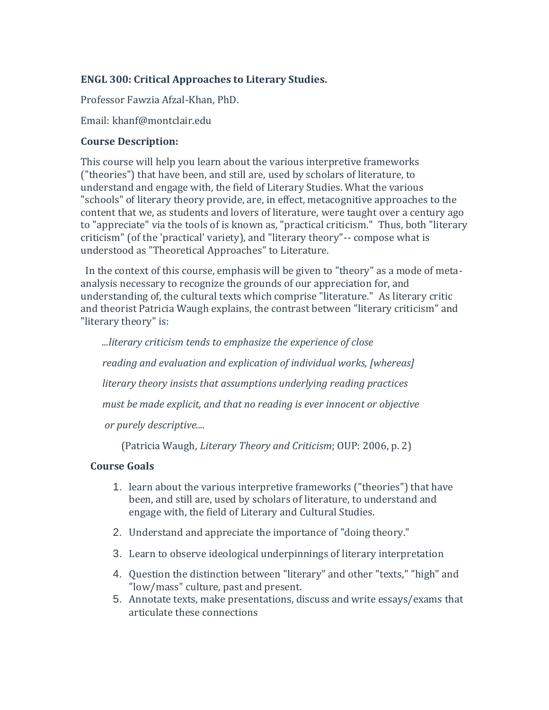#### **ENGL 300: Critical Approaches to Literary Studies.**

Professor Fawzia Afzal-Khan, PhD.

Email: khanf@montclair.edu

#### **Course Description:**

This course will help you learn about the various interpretive frameworks ("theories") that have been, and still are, used by scholars of literature, to understand and engage with, the field of Literary Studies. What the various "schools" of literary theory provide, are, in effect, metacognitive approaches to the content that we, as students and lovers of literature, were taught over a century ago to "appreciate" via the tools of is known as, "practical criticism." Thus, both "literary criticism" (of the 'practical' variety), and "literary theory"-- compose what is understood as "Theoretical Approaches" to Literature.

In the context of this course, emphasis will be given to "theory" as a mode of metaanalysis necessary to recognize the grounds of our appreciation for, and understanding of, the cultural texts which comprise "literature." As literary critic and theorist Patricia Waugh explains, the contrast between "literary criticism" and "literary theory" is:

*...literary criticism tends to emphasize the experience of close*

*reading and evaluation and explication of individual works, [whereas]*

*literary theory insists that assumptions underlying reading practices*

*must be made explicit, and that no reading is ever innocent or objective*

*or purely descriptive....*

(Patricia Waugh, *Literary Theory and Criticism*; OUP: 2006, p. 2)

#### **Course Goals**

- 1. learn about the various interpretive frameworks ("theories") that have been, and still are, used by scholars of literature, to understand and engage with, the field of Literary and Cultural Studies.
- 2. Understand and appreciate the importance of "doing theory."
- 3. Learn to observe ideological underpinnings of literary interpretation
- 4. Question the distinction between "literary" and other "texts," "high" and "low/mass" culture, past and present.
- 5. Annotate texts, make presentations, discuss and write essays/exams that articulate these connections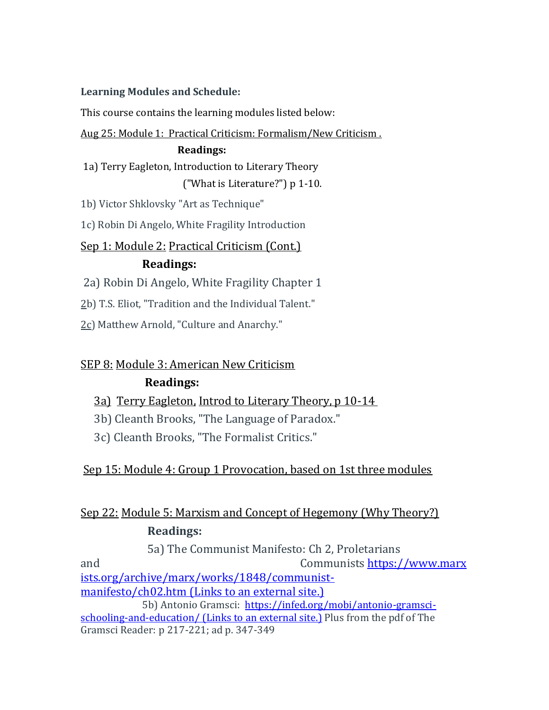#### **Learning Modules and Schedule:**

This course contains the learning modules listed below:

#### Aug 25: Module 1: [Practical Criticism: Formalism/New Criticism .](https://montclair.instructure.com/courses/126723/modules/294192)

#### **[Readings:](https://montclair.instructure.com/courses/126723/modules/294192)**

[1a\) Terry Eagleton, Introduction to Literary Theory](https://montclair.instructure.com/courses/126723/modules/294192) [\("What is Literature?"\)](https://montclair.instructure.com/courses/126723/modules/294194) [p 1-10.](https://montclair.instructure.com/courses/126723/modules/294192)

1b) Victor Shklovsky "Art as Technique"

1c) Robin Di Angelo, White Fragility Introduction

## Sep 1: [Module 2:](https://montclair.instructure.com/courses/126723/modules/294193) [Practical Criticism \(Cont.\)](https://montclair.instructure.com/courses/126723/modules/294192) **[Readings:](https://montclair.instructure.com/courses/126723/modules/294192)**

2a) Robin Di Angelo, White Fragility Chapter 1

2b) T.S. Eliot, "Tradition and the Individual Talent."

2c) Matthew Arnold, "Culture and Anarchy."

## SEP 8: [Module 3: American New Criticism](https://montclair.instructure.com/courses/126723/modules/294194)

## **[Readings:](https://montclair.instructure.com/courses/126723/modules/294194)**

- [3a\) Terry Eagleton,](https://montclair.instructure.com/courses/126723/modules/294194) [Introd to Literary Theory, p 10-14](https://montclair.instructure.com/courses/126723/modules/294194)
- 3b) Cleanth Brooks, "The Language of Paradox."
- 3c) Cleanth Brooks, "The Formalist Critics."

## Sep 15: [Module 4:](https://montclair.instructure.com/courses/126723/modules/294195) [Group 1 Provocation, based on 1st three modules](https://montclair.instructure.com/courses/126723/modules/294195)

# Sep 22: [Module 5:](https://montclair.instructure.com/courses/126723/modules/294196) Marxism and Concept of Hegemony (Why Theory?) **Readings:**

5a) The Communist Manifesto: Ch 2, Proletarians and Communists [https://www.marx](https://www.marxists.org/archive/marx/works/1848/communist-manifesto/ch02.htm) [ists.org/archive/marx/works/1848/communist](https://www.marxists.org/archive/marx/works/1848/communist-manifesto/ch02.htm)[manifesto/ch02.htm](https://www.marxists.org/archive/marx/works/1848/communist-manifesto/ch02.htm) (Links to an external site.) 5b) Antonio Gramsci: [https://infed.org/mobi/antonio-gramsci-](https://infed.org/mobi/antonio-gramsci-schooling-and-education/)

[schooling-and-education/](https://infed.org/mobi/antonio-gramsci-schooling-and-education/) (Links to an external site.) Plus from the pdf of The Gramsci Reader: p 217-221; ad p. 347-349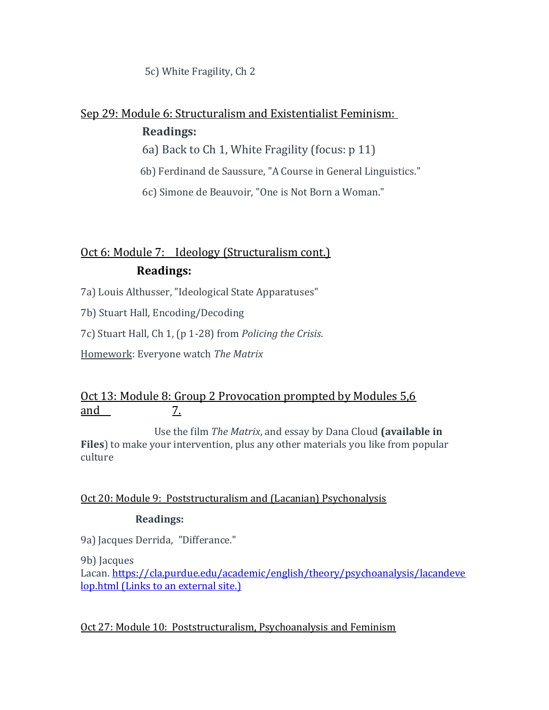5c) White Fragility, Ch 2

# Sep 29: [Module 6: Structuralism and Existentialist Feminism:](https://montclair.instructure.com/courses/126723/modules/294194)

#### **Readings:**

6a) Back to Ch 1, White Fragility (focus: p 11)

6b) Ferdinand de Saussure, "A Course in General Linguistics."

6c) Simone de Beauvoir, "One is Not Born a Woman."

# Oct 6: Module 7: [Ideology \(Structuralism cont.\)](https://montclair.instructure.com/courses/126723/modules/294196) **Readings:**

7a) Louis Althusser, "Ideological State Apparatuses"

7b) Stuart Hall, Encoding/Decoding

7c) Stuart Hall, Ch 1, (p 1-28) from *Policing the Crisis*.

Homework: Everyone watch *The Matrix*

## Oct 13: Module 8: [Group 2 Provocation prompted by Modules 5,6](https://montclair.instructure.com/courses/126723/modules/294196)  [and](https://montclair.instructure.com/courses/126723/modules/294196) [7.](https://montclair.instructure.com/courses/126723/modules/294196)

Use the film *The Matrix*, and essay by Dana Cloud **(available in Files**) to make your intervention, plus any other materials you like from popular culture

#### Oct 20: Module 9: [Poststructuralism and \(Lacanian\) Psychonalysis](https://montclair.instructure.com/courses/126723/modules/294196)

#### **Readings:**

9a) Jacques Derrida, "Differance."

9b) Jacques

Lacan. [https://cla.purdue.edu/academic/english/theory/psychoanalysis/lacandeve](https://cla.purdue.edu/academic/english/theory/psychoanalysis/lacandevelop.html) [lop.html](https://cla.purdue.edu/academic/english/theory/psychoanalysis/lacandevelop.html) (Links to an external site.)

Oct 27: Module 10: [Poststructuralism, Psychoanalysis and Feminism](https://montclair.instructure.com/courses/126723/modules/294196)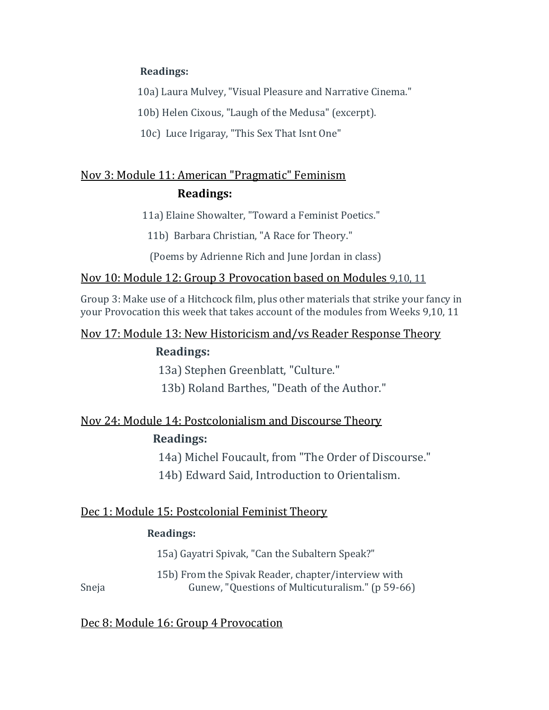#### **Readings:**

10a) Laura Mulvey, "Visual Pleasure and Narrative Cinema."

10b) Helen Cixous, "Laugh of the Medusa" (excerpt).

10c) Luce Irigaray, "This Sex That Isnt One"

# Nov 3: [Module 11: American "Pragmatic" Feminism](https://montclair.instructure.com/courses/126723/modules/294199) **Readings:**

11a) Elaine Showalter, "Toward a Feminist Poetics."

11b) Barbara Christian, "A Race for Theory."

(Poems by Adrienne Rich and June Jordan in class)

#### Nov 10: [Module 12: Group 3](https://montclair.instructure.com/courses/126723/modules/294203) Provocation based on Modules 9,10, 11

Group 3: Make use of a Hitchcock film, plus other materials that strike your fancy in your Provocation this week that takes account of the modules from Weeks 9,10, 11

## Nov 17: [Module 13: New Historicism and/vs Reader Response Theory](https://montclair.instructure.com/courses/126723/modules/294204)

### **Readings:**

13a) Stephen Greenblatt, "Culture."

13b) Roland Barthes, "Death of the Author."

## Nov 24: [Module 14: Postcolonialism and Discourse Theory](https://montclair.instructure.com/courses/126723/modules/294205) **Readings:**

14a) Michel Foucault, from "The Order of Discourse."

14b) Edward Said, Introduction to Orientalism.

#### Dec 1: [Module 15: Postcolonial Feminist Theory](https://montclair.instructure.com/courses/126723/modules/294205)

#### **Readings:**

15a) Gayatri Spivak, "Can the Subaltern Speak?"

15b) From the Spivak Reader, chapter/interview with Sneja Gunew, "Questions of Multicuturalism." (p 59-66)

#### Dec 8: [Module 16: Group 4 Provocation](https://montclair.instructure.com/courses/126723/modules/294206)